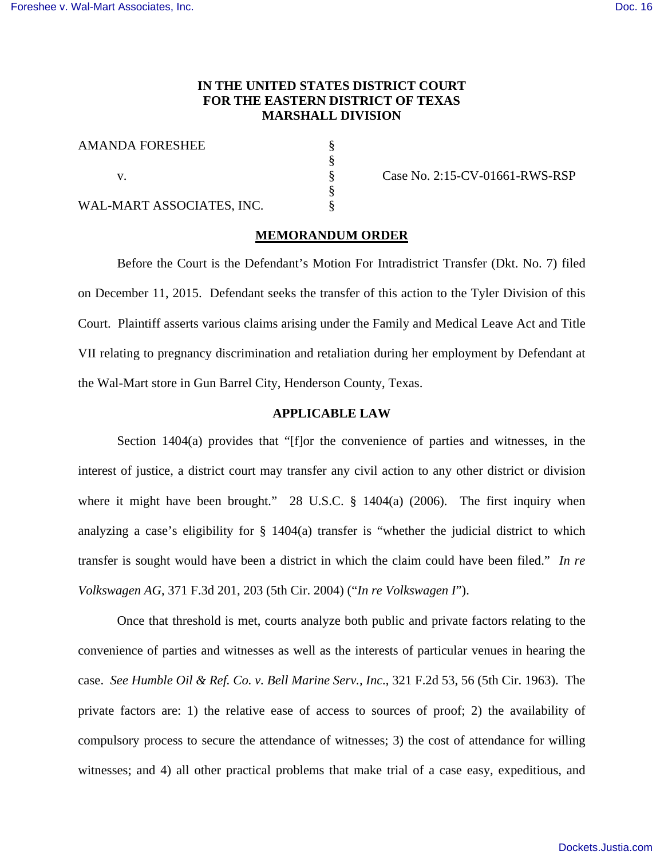## **IN THE UNITED STATES DISTRICT COURT FOR THE EASTERN DISTRICT OF TEXAS MARSHALL DIVISION**

§ § § § §

AMANDA FORESHEE

v.

WAL-MART ASSOCIATES, INC.

Case No. 2:15-CV-01661-RWS-RSP

#### **MEMORANDUM ORDER**

Before the Court is the Defendant's Motion For Intradistrict Transfer (Dkt. No. 7) filed on December 11, 2015. Defendant seeks the transfer of this action to the Tyler Division of this Court. Plaintiff asserts various claims arising under the Family and Medical Leave Act and Title VII relating to pregnancy discrimination and retaliation during her employment by Defendant at the Wal-Mart store in Gun Barrel City, Henderson County, Texas.

## **APPLICABLE LAW**

Section 1404(a) provides that "[f]or the convenience of parties and witnesses, in the interest of justice, a district court may transfer any civil action to any other district or division where it might have been brought." 28 U.S.C. § 1404(a) (2006). The first inquiry when analyzing a case's eligibility for § 1404(a) transfer is "whether the judicial district to which transfer is sought would have been a district in which the claim could have been filed." *In re Volkswagen AG*, 371 F.3d 201, 203 (5th Cir. 2004) ("*In re Volkswagen I*").

Once that threshold is met, courts analyze both public and private factors relating to the convenience of parties and witnesses as well as the interests of particular venues in hearing the case. *See Humble Oil & Ref. Co. v. Bell Marine Serv., Inc.*, 321 F.2d 53, 56 (5th Cir. 1963). The private factors are: 1) the relative ease of access to sources of proof; 2) the availability of compulsory process to secure the attendance of witnesses; 3) the cost of attendance for willing witnesses; and 4) all other practical problems that make trial of a case easy, expeditious, and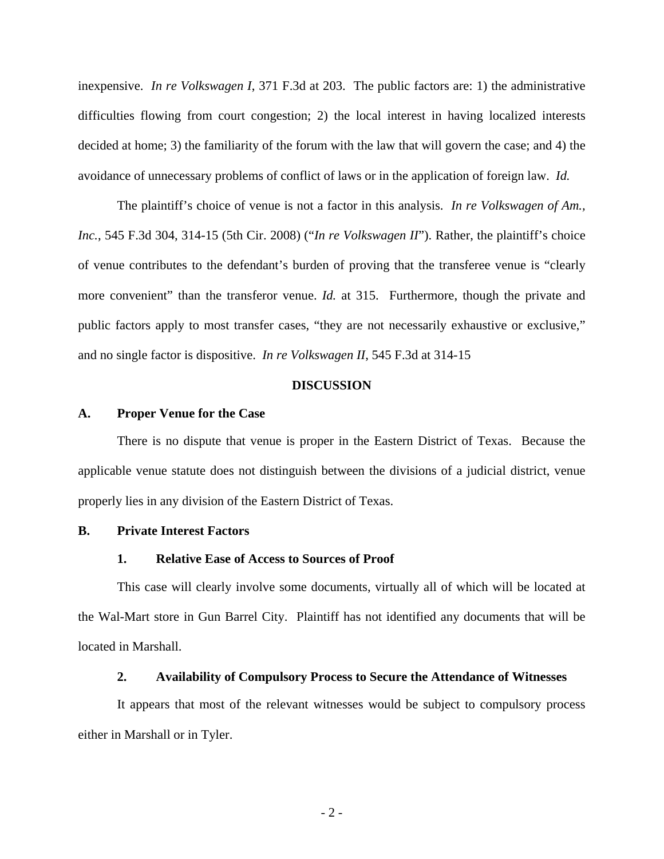inexpensive. *In re Volkswagen I*, 371 F.3d at 203. The public factors are: 1) the administrative difficulties flowing from court congestion; 2) the local interest in having localized interests decided at home; 3) the familiarity of the forum with the law that will govern the case; and 4) the avoidance of unnecessary problems of conflict of laws or in the application of foreign law. *Id.*

The plaintiff's choice of venue is not a factor in this analysis. *In re Volkswagen of Am., Inc.*, 545 F.3d 304, 314-15 (5th Cir. 2008) ("*In re Volkswagen II*"). Rather, the plaintiff's choice of venue contributes to the defendant's burden of proving that the transferee venue is "clearly more convenient" than the transferor venue. *Id.* at 315. Furthermore, though the private and public factors apply to most transfer cases, "they are not necessarily exhaustive or exclusive," and no single factor is dispositive. *In re Volkswagen II*, 545 F.3d at 314-15

#### **DISCUSSION**

#### **A. Proper Venue for the Case**

There is no dispute that venue is proper in the Eastern District of Texas. Because the applicable venue statute does not distinguish between the divisions of a judicial district, venue properly lies in any division of the Eastern District of Texas.

#### **B. Private Interest Factors**

#### **1. Relative Ease of Access to Sources of Proof**

This case will clearly involve some documents, virtually all of which will be located at the Wal-Mart store in Gun Barrel City. Plaintiff has not identified any documents that will be located in Marshall.

## **2. Availability of Compulsory Process to Secure the Attendance of Witnesses**

It appears that most of the relevant witnesses would be subject to compulsory process either in Marshall or in Tyler.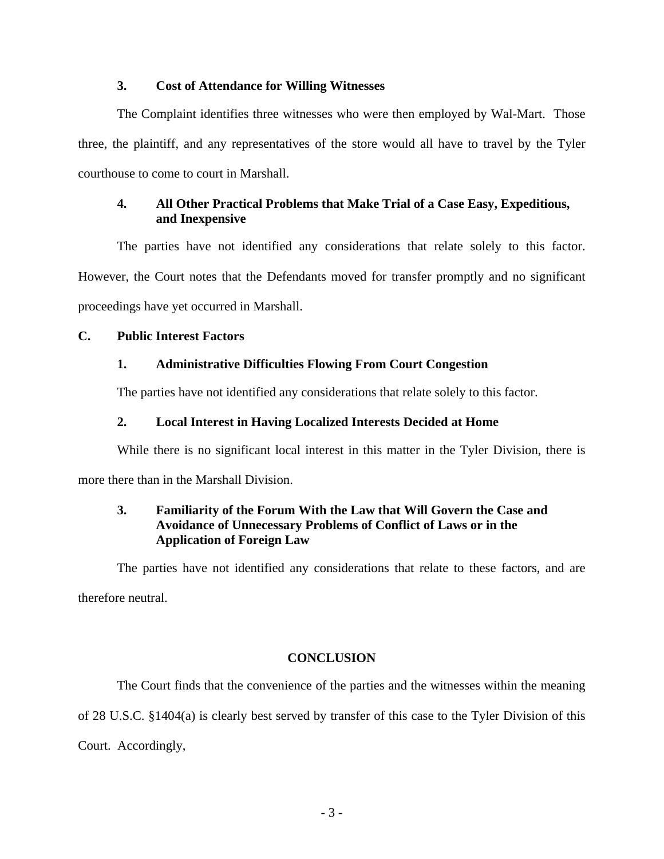## **3. Cost of Attendance for Willing Witnesses**

The Complaint identifies three witnesses who were then employed by Wal-Mart. Those three, the plaintiff, and any representatives of the store would all have to travel by the Tyler courthouse to come to court in Marshall.

# **4. All Other Practical Problems that Make Trial of a Case Easy, Expeditious, and Inexpensive**

The parties have not identified any considerations that relate solely to this factor. However, the Court notes that the Defendants moved for transfer promptly and no significant proceedings have yet occurred in Marshall.

## **C. Public Interest Factors**

## **1. Administrative Difficulties Flowing From Court Congestion**

The parties have not identified any considerations that relate solely to this factor.

# **2. Local Interest in Having Localized Interests Decided at Home**

While there is no significant local interest in this matter in the Tyler Division, there is

more there than in the Marshall Division.

# **3. Familiarity of the Forum With the Law that Will Govern the Case and Avoidance of Unnecessary Problems of Conflict of Laws or in the Application of Foreign Law**

The parties have not identified any considerations that relate to these factors, and are therefore neutral.

## **CONCLUSION**

The Court finds that the convenience of the parties and the witnesses within the meaning of 28 U.S.C. §1404(a) is clearly best served by transfer of this case to the Tyler Division of this Court. Accordingly,